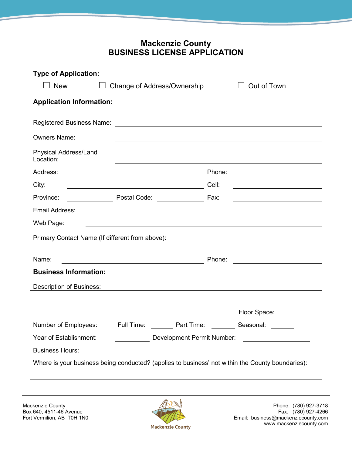## **Mackenzie County BUSINESS LICENSE APPLICATION**

| <b>Type of Application:</b>                                                                                                                                                 |                                                                                                                      |        |                                                   |  |  |
|-----------------------------------------------------------------------------------------------------------------------------------------------------------------------------|----------------------------------------------------------------------------------------------------------------------|--------|---------------------------------------------------|--|--|
| $\Box$ New                                                                                                                                                                  | $\Box$ Change of Address/Ownership                                                                                   |        | Out of Town                                       |  |  |
| <b>Application Information:</b>                                                                                                                                             |                                                                                                                      |        |                                                   |  |  |
|                                                                                                                                                                             |                                                                                                                      |        |                                                   |  |  |
| <b>Owners Name:</b>                                                                                                                                                         |                                                                                                                      |        |                                                   |  |  |
| <b>Physical Address/Land</b><br>Location:                                                                                                                                   |                                                                                                                      |        |                                                   |  |  |
| Address:                                                                                                                                                                    | <u> 1980 - Johann Barn, mars ann an t-Amhain Aonaich an t-Aonaich an t-Aonaich ann an t-Aonaich ann an t-Aonaich</u> | Phone: |                                                   |  |  |
| City:                                                                                                                                                                       |                                                                                                                      | Cell:  | <u> 1989 - Johann Barbara, martxa alemaniar a</u> |  |  |
| Province:                                                                                                                                                                   | Postal Code: _____________                                                                                           | Fax:   | <u> 1989 - Johann Barbara, martxa alemaniar a</u> |  |  |
| Email Address:                                                                                                                                                              | <u> 1989 - Johann Stoff, amerikansk politiker (d. 1989)</u>                                                          |        |                                                   |  |  |
| Web Page:                                                                                                                                                                   | <u> 1980 - Andrea Stadt Britain, amerikan bestean ingila (h. 1980).</u>                                              |        |                                                   |  |  |
|                                                                                                                                                                             | Primary Contact Name (If different from above):                                                                      |        |                                                   |  |  |
| Name:                                                                                                                                                                       |                                                                                                                      | Phone: |                                                   |  |  |
| <b>Business Information:</b>                                                                                                                                                |                                                                                                                      |        |                                                   |  |  |
| <b>Description of Business:</b>                                                                                                                                             | <u> 1989 - Andrea Santa Andrea Andrea Santa Andrea Andrea Andrea Andrea Andrea Andrea Andrea Andrea Andrea Andre</u> |        |                                                   |  |  |
|                                                                                                                                                                             |                                                                                                                      |        |                                                   |  |  |
|                                                                                                                                                                             |                                                                                                                      |        | Floor Space:                                      |  |  |
| Number of Employees: Full Time:                                                                                                                                             | Part Time:                                                                                                           |        | Seasonal:                                         |  |  |
| Year of Establishment:<br>Development Permit Number:<br><u> 1980 - Jan Barat, prima populație de la proprietat de la proprietat de la proprietat de la proprietat de la</u> |                                                                                                                      |        |                                                   |  |  |
| <b>Business Hours:</b>                                                                                                                                                      |                                                                                                                      |        |                                                   |  |  |
| Where is your business being conducted? (applies to business' not within the County boundaries):                                                                            |                                                                                                                      |        |                                                   |  |  |

Box 640, 4511-46 Avenue<br>Fort Vermilion, AB T0H 1N0